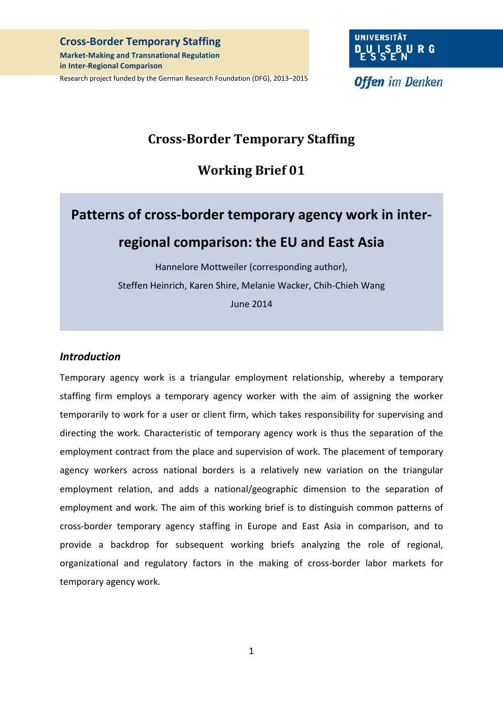#### **Cross-Border Temporary Staffing**

**Market-Making and Transnational Regulation in Inter-Regional Comparison** 

Research project funded by the German Research Foundation (DFG), 2013–2015

**Offen** im Denken

## **Cross-Border Temporary Staffing**

# **Working Brief 01**

# **Patterns of cross-border temporary agency work in interregional comparison: the EU and East Asia**

Hannelore Mottweiler (corresponding author), Steffen Heinrich, Karen Shire, Melanie Wacker, Chih-Chieh Wang June 2014

#### *Introduction*

Temporary agency work is a triangular employment relationship, whereby a temporary staffing firm employs a temporary agency worker with the aim of assigning the worker temporarily to work for a user or client firm, which takes responsibility for supervising and directing the work. Characteristic of temporary agency work is thus the separation of the employment contract from the place and supervision of work. The placement of temporary agency workers across national borders is a relatively new variation on the triangular employment relation, and adds a national/geographic dimension to the separation of employment and work. The aim of this working brief is to distinguish common patterns of cross-border temporary agency staffing in Europe and East Asia in comparison, and to provide a backdrop for subsequent working briefs analyzing the role of regional, organizational and regulatory factors in the making of cross-border labor markets for temporary agency work.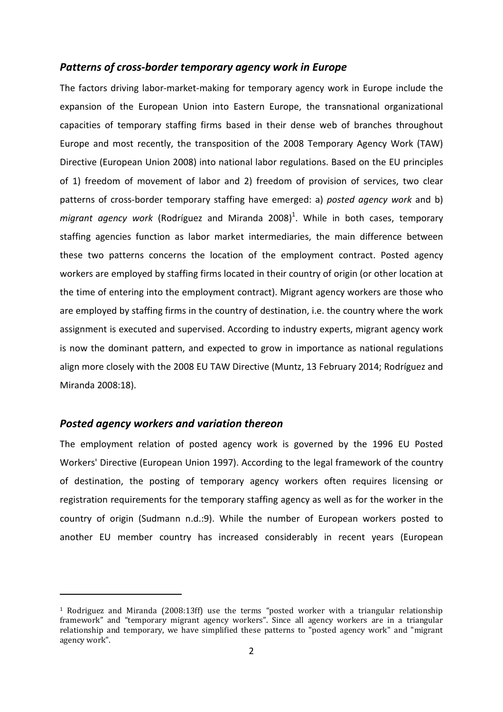#### *Patterns of cross-border temporary agency work in Europe*

The factors driving labor-market-making for temporary agency work in Europe include the expansion of the European Union into Eastern Europe, the transnational organizational capacities of temporary staffing firms based in their dense web of branches throughout Europe and most recently, the transposition of the 2008 Temporary Agency Work (TAW) Directive (European Union 2008) into national labor regulations. Based on the EU principles of 1) freedom of movement of labor and 2) freedom of provision of services, two clear patterns of cross-border temporary staffing have emerged: a) *posted agency work* and b) migrant agency work (Rodríguez and Miranda 2008)<sup>1</sup>. While in both cases, temporary staffing agencies function as labor market intermediaries, the main difference between these two patterns concerns the location of the employment contract. Posted agency workers are employed by staffing firms located in their country of origin (or other location at the time of entering into the employment contract). Migrant agency workers are those who are employed by staffing firms in the country of destination, i.e. the country where the work assignment is executed and supervised. According to industry experts, migrant agency work is now the dominant pattern, and expected to grow in importance as national regulations align more closely with the 2008 EU TAW Directive (Muntz, 13 February 2014; Rodríguez and Miranda 2008:18).

#### *Posted agency workers and variation thereon*

j

The employment relation of posted agency work is governed by the 1996 EU Posted Workers' Directive (European Union 1997). According to the legal framework of the country of destination, the posting of temporary agency workers often requires licensing or registration requirements for the temporary staffing agency as well as for the worker in the country of origin (Sudmann n.d.:9). While the number of European workers posted to another EU member country has increased considerably in recent years (European

<sup>1</sup> Rodriguez and Miranda (2008:13ff) use the terms "posted worker with a triangular relationship framework" and "temporary migrant agency workers". Since all agency workers are in a triangular relationship and temporary, we have simplified these patterns to "posted agency work" and "migrant agency work".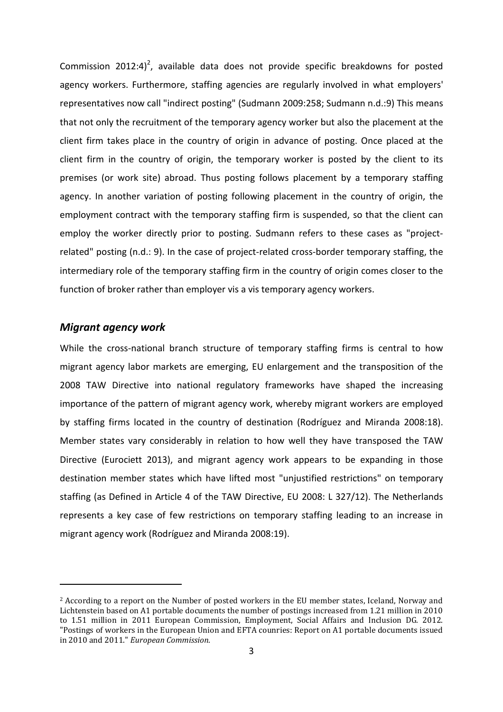Commission 2012:4)<sup>2</sup>, available data does not provide specific breakdowns for posted agency workers. Furthermore, staffing agencies are regularly involved in what employers' representatives now call "indirect posting" (Sudmann 2009:258; Sudmann n.d.:9) This means that not only the recruitment of the temporary agency worker but also the placement at the client firm takes place in the country of origin in advance of posting. Once placed at the client firm in the country of origin, the temporary worker is posted by the client to its premises (or work site) abroad. Thus posting follows placement by a temporary staffing agency. In another variation of posting following placement in the country of origin, the employment contract with the temporary staffing firm is suspended, so that the client can employ the worker directly prior to posting. Sudmann refers to these cases as "projectrelated" posting (n.d.: 9). In the case of project-related cross-border temporary staffing, the intermediary role of the temporary staffing firm in the country of origin comes closer to the function of broker rather than employer vis a vis temporary agency workers.

#### *Migrant agency work*

l

While the cross-national branch structure of temporary staffing firms is central to how migrant agency labor markets are emerging, EU enlargement and the transposition of the 2008 TAW Directive into national regulatory frameworks have shaped the increasing importance of the pattern of migrant agency work, whereby migrant workers are employed by staffing firms located in the country of destination (Rodríguez and Miranda 2008:18). Member states vary considerably in relation to how well they have transposed the TAW Directive (Eurociett 2013), and migrant agency work appears to be expanding in those destination member states which have lifted most "unjustified restrictions" on temporary staffing (as Defined in Article 4 of the TAW Directive, EU 2008: L 327/12). The Netherlands represents a key case of few restrictions on temporary staffing leading to an increase in migrant agency work (Rodríguez and Miranda 2008:19).

<sup>2</sup> According to a report on the Number of posted workers in the EU member states, Iceland, Norway and Lichtenstein based on A1 portable documents the number of postings increased from 1.21 million in 2010 to 1.51 million in 2011 European Commission, Employment, Social Affairs and Inclusion DG. 2012. "Postings of workers in the European Union and EFTA counries: Report on A1 portable documents issued in 2010 and 2011." *European Commission*.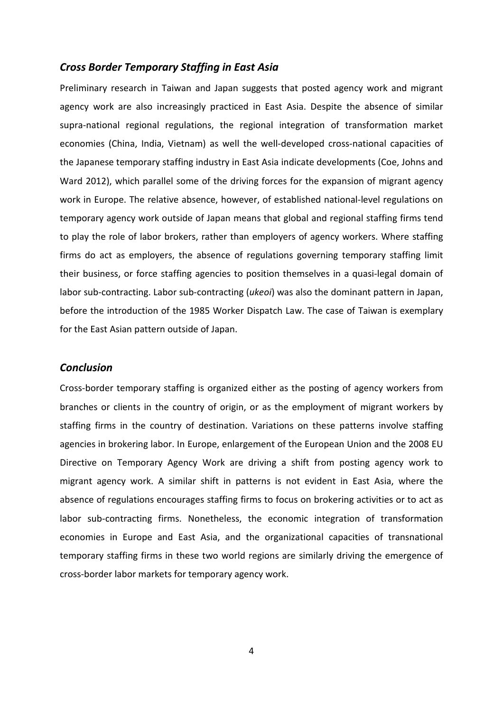#### *Cross Border Temporary Staffing in East Asia*

Preliminary research in Taiwan and Japan suggests that posted agency work and migrant agency work are also increasingly practiced in East Asia. Despite the absence of similar supra-national regional regulations, the regional integration of transformation market economies (China, India, Vietnam) as well the well-developed cross-national capacities of the Japanese temporary staffing industry in East Asia indicate developments (Coe, Johns and Ward 2012), which parallel some of the driving forces for the expansion of migrant agency work in Europe. The relative absence, however, of established national-level regulations on temporary agency work outside of Japan means that global and regional staffing firms tend to play the role of labor brokers, rather than employers of agency workers. Where staffing firms do act as employers, the absence of regulations governing temporary staffing limit their business, or force staffing agencies to position themselves in a quasi-legal domain of labor sub-contracting. Labor sub-contracting (*ukeoi*) was also the dominant pattern in Japan, before the introduction of the 1985 Worker Dispatch Law. The case of Taiwan is exemplary for the East Asian pattern outside of Japan.

#### *Conclusion*

Cross-border temporary staffing is organized either as the posting of agency workers from branches or clients in the country of origin, or as the employment of migrant workers by staffing firms in the country of destination. Variations on these patterns involve staffing agencies in brokering labor. In Europe, enlargement of the European Union and the 2008 EU Directive on Temporary Agency Work are driving a shift from posting agency work to migrant agency work. A similar shift in patterns is not evident in East Asia, where the absence of regulations encourages staffing firms to focus on brokering activities or to act as labor sub-contracting firms. Nonetheless, the economic integration of transformation economies in Europe and East Asia, and the organizational capacities of transnational temporary staffing firms in these two world regions are similarly driving the emergence of cross-border labor markets for temporary agency work.

4